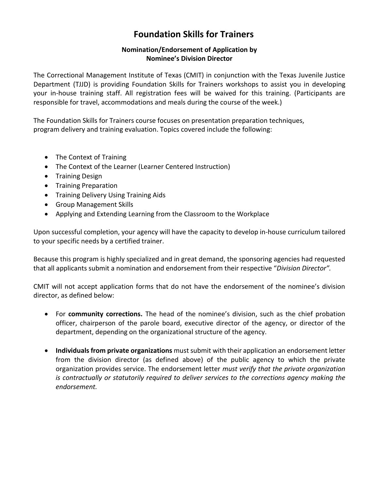# **Foundation Skills for Trainers**

## **Nomination/Endorsement of Application by Nominee's Division Director**

The Correctional Management Institute of Texas (CMIT) in conjunction with the Texas Juvenile Justice Department (TJJD) is providing Foundation Skills for Trainers workshops to assist you in developing your in-house training staff. All registration fees will be waived for this training. (Participants are responsible for travel, accommodations and meals during the course of the week.)

The Foundation Skills for Trainers course focuses on presentation preparation techniques, program delivery and training evaluation. Topics covered include the following:

- The Context of Training
- The Context of the Learner (Learner Centered Instruction)
- Training Design
- **•** Training Preparation
- **•** Training Delivery Using Training Aids
- Group Management Skills
- Applying and Extending Learning from the Classroom to the Workplace

Upon successful completion, your agency will have the capacity to develop in-house curriculum tailored to your specific needs by a certified trainer.

Because this program is highly specialized and in great demand, the sponsoring agencies had requested that all applicants submit a nomination and endorsement from their respective "*Division Director".*

CMIT will not accept application forms that do not have the endorsement of the nominee's division director, as defined below:

- For **community corrections.** The head of the nominee's division, such as the chief probation officer, chairperson of the parole board, executive director of the agency, or director of the department, depending on the organizational structure of the agency.
- **Individuals from private organizations** must submit with their application an endorsement letter from the division director (as defined above) of the public agency to which the private organization provides service. The endorsement letter *must verify that the private organization is contractually or statutorily required to deliver services to the corrections agency making the endorsement.*